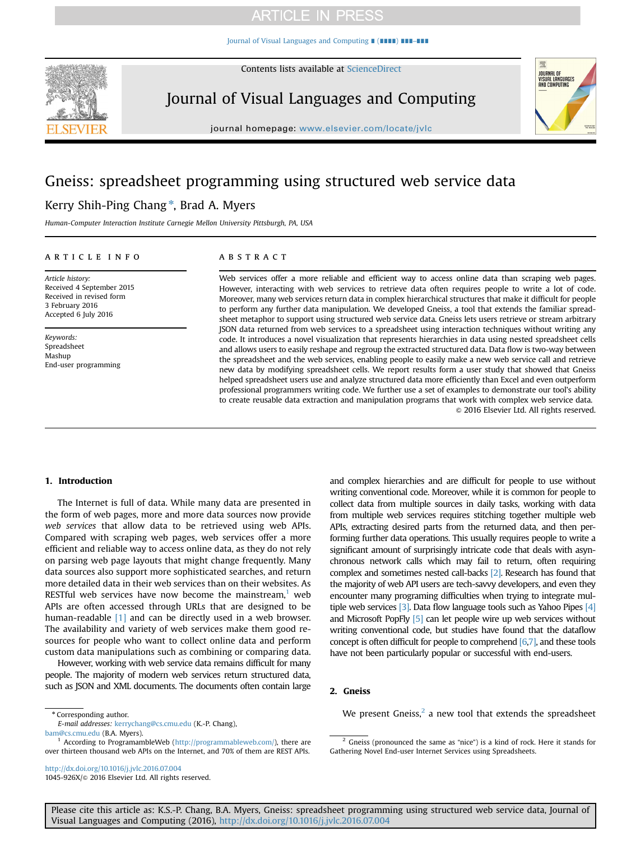[Journal of Visual Languages and Computing](http://dx.doi.org/10.1016/j.jvlc.2016.07.004) ∎ (∎∎∎∎) ∎∎∎–∎∎∎



Contents lists available at [ScienceDirect](www.sciencedirect.com/science/journal/1045926X)

Journal of Visual Languages and Computing



journal homepage: <www.elsevier.com/locate/jvlc>cate/jvlccate/jvlccate/jvlccate/jvlccate/jvlccate/jvlccate/jvlccate/jvlccate/jvlccate/jvlccate/jvlccate/jvlccate/jvlccate/jvlccate/jvlccate/jvlccate/jvlccate/jvlccate/jvlccate

# Gneiss: spreadsheet programming using structured web service data

# Kerry Shih-Ping Chang<sup>\*</sup>, Brad A. Myers

Human-Computer Interaction Institute Carnegie Mellon University Pittsburgh, PA, USA

## article info

Article history: Received 4 September 2015 Received in revised form 3 February 2016 Accepted 6 July 2016

Keywords: Spreadsheet Mashup End-user programming

## **ABSTRACT**

Web services offer a more reliable and efficient way to access online data than scraping web pages. However, interacting with web services to retrieve data often requires people to write a lot of code. Moreover, many web services return data in complex hierarchical structures that make it difficult for people to perform any further data manipulation. We developed Gneiss, a tool that extends the familiar spreadsheet metaphor to support using structured web service data. Gneiss lets users retrieve or stream arbitrary JSON data returned from web services to a spreadsheet using interaction techniques without writing any code. It introduces a novel visualization that represents hierarchies in data using nested spreadsheet cells and allows users to easily reshape and regroup the extracted structured data. Data flow is two-way between the spreadsheet and the web services, enabling people to easily make a new web service call and retrieve new data by modifying spreadsheet cells. We report results form a user study that showed that Gneiss helped spreadsheet users use and analyze structured data more efficiently than Excel and even outperform professional programmers writing code. We further use a set of examples to demonstrate our tool's ability to create reusable data extraction and manipulation programs that work with complex web service data.  $\odot$  2016 Elsevier Ltd. All rights reserved.

## 1. Introduction

The Internet is full of data. While many data are presented in the form of web pages, more and more data sources now provide web services that allow data to be retrieved using web APIs. Compared with scraping web pages, web services offer a more efficient and reliable way to access online data, as they do not rely on parsing web page layouts that might change frequently. Many data sources also support more sophisticated searches, and return more detailed data in their web services than on their websites. As RESTful web services have now become the mainstream, $<sup>1</sup>$  web</sup> APIs are often accessed through URLs that are designed to be human-readable [\[1\]](#page-9-0) and can be directly used in a web browser. The availability and variety of web services make them good resources for people who want to collect online data and perform custom data manipulations such as combining or comparing data.

However, working with web service data remains difficult for many people. The majority of modern web services return structured data, such as JSON and XML documents. The documents often contain large

\* Corresponding author.

E-mail addresses: [kerrychang@cs.cmu.edu](mailto:kerrychang@cs.cmu.edu) (K.-P. Chang),

[bam@cs.cmu.edu](mailto:bam@cs.cmu.edu) (B.A. Myers).

<http://dx.doi.org/10.1016/j.jvlc.2016.07.004> 1045-926X/& 2016 Elsevier Ltd. All rights reserved. and complex hierarchies and are difficult for people to use without writing conventional code. Moreover, while it is common for people to collect data from multiple sources in daily tasks, working with data from multiple web services requires stitching together multiple web APIs, extracting desired parts from the returned data, and then performing further data operations. This usually requires people to write a significant amount of surprisingly intricate code that deals with asynchronous network calls which may fail to return, often requiring complex and sometimes nested call-backs [\[2\].](#page-9-0) Research has found that the majority of web API users are tech-savvy developers, and even they encounter many programing difficulties when trying to integrate multiple web services  $[3]$ . Data flow language tools such as Yahoo Pipes  $[4]$ and Microsoft PopFly [\[5\]](#page-9-0) can let people wire up web services without writing conventional code, but studies have found that the dataflow concept is often difficult for people to comprehend [\[6,7\]](#page-9-0), and these tools have not been particularly popular or successful with end-users.

# 2. Gneiss

We present Gneiss, $<sup>2</sup>$  a new tool that extends the spreadsheet</sup>

<sup>&</sup>lt;sup>1</sup> According to ProgramambleWeb [\(http://programmableweb.com/\)](http://programmableweb.com/), there are over thirteen thousand web APIs on the Internet, and 70% of them are REST APIs.

<sup>2</sup> Gneiss (pronounced the same as "nice") is a kind of rock. Here it stands for Gathering Novel End-user Internet Services using Spreadsheets.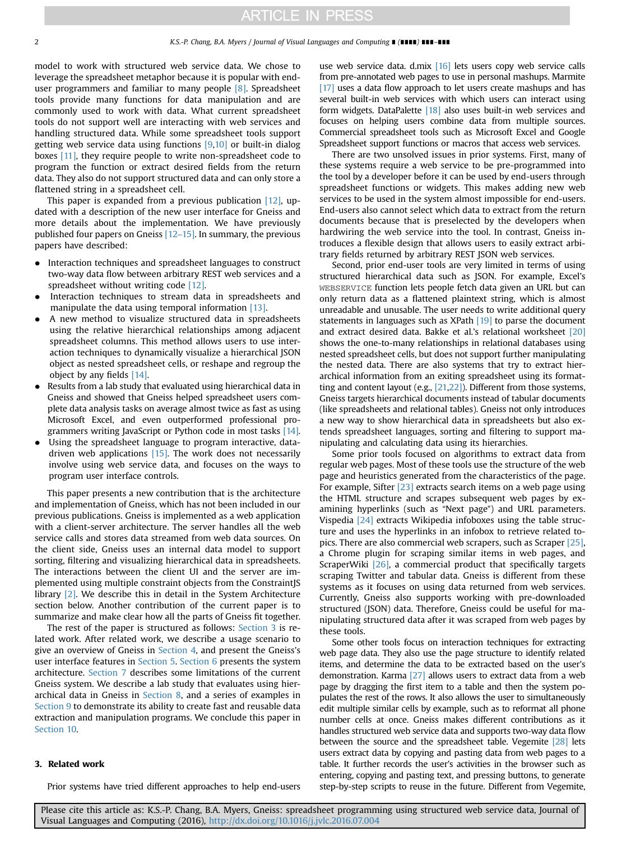<span id="page-1-0"></span>model to work with structured web service data. We chose to leverage the spreadsheet metaphor because it is popular with end-user programmers and familiar to many people [\[8\]](#page-9-0). Spreadsheet tools provide many functions for data manipulation and are commonly used to work with data. What current spreadsheet tools do not support well are interacting with web services and handling structured data. While some spreadsheet tools support getting web service data using functions [\[9,10\]](#page-9-0) or built-in dialog boxes [\[11\],](#page-9-0) they require people to write non-spreadsheet code to program the function or extract desired fields from the return data. They also do not support structured data and can only store a flattened string in a spreadsheet cell.

This paper is expanded from a previous publication [\[12\]](#page-9-0), updated with a description of the new user interface for Gneiss and more details about the implementation. We have previously published four papers on Gneiss [12–[15\].](#page-9-0) In summary, the previous papers have described:

- Interaction techniques and spreadsheet languages to construct two-way data flow between arbitrary REST web services and a spreadsheet without writing code [\[12\].](#page-9-0)
- Interaction techniques to stream data in spreadsheets and manipulate the data using temporal information [\[13\].](#page-9-0)
- A new method to visualize structured data in spreadsheets using the relative hierarchical relationships among adjacent spreadsheet columns. This method allows users to use interaction techniques to dynamically visualize a hierarchical JSON object as nested spreadsheet cells, or reshape and regroup the object by any fields [\[14\].](#page-9-0)
- Results from a lab study that evaluated using hierarchical data in Gneiss and showed that Gneiss helped spreadsheet users complete data analysis tasks on average almost twice as fast as using Microsoft Excel, and even outperformed professional programmers writing JavaScript or Python code in most tasks [\[14\].](#page-9-0)
- Using the spreadsheet language to program interactive, datadriven web applications [\[15\]](#page-9-0). The work does not necessarily involve using web service data, and focuses on the ways to program user interface controls.

This paper presents a new contribution that is the architecture and implementation of Gneiss, which has not been included in our previous publications. Gneiss is implemented as a web application with a client-server architecture. The server handles all the web service calls and stores data streamed from web data sources. On the client side, Gneiss uses an internal data model to support sorting, filtering and visualizing hierarchical data in spreadsheets. The interactions between the client UI and the server are implemented using multiple constraint objects from the ConstraintJS library [\[2\].](#page-9-0) We describe this in detail in the System Architecture section below. Another contribution of the current paper is to summarize and make clear how all the parts of Gneiss fit together.

The rest of the paper is structured as follows: Section 3 is related work. After related work, we describe a usage scenario to give an overview of Gneiss in [Section 4,](#page-2-0) and present the Gneiss's user interface features in [Section 5](#page-3-0). [Section 6](#page-5-0) presents the system architecture. [Section 7](#page-7-0) describes some limitations of the current Gneiss system. We describe a lab study that evaluates using hierarchical data in Gneiss in [Section 8,](#page-7-0) and a series of examples in [Section 9](#page-8-0) to demonstrate its ability to create fast and reusable data extraction and manipulation programs. We conclude this paper in [Section 10](#page-9-0).

## 3. Related work

Prior systems have tried different approaches to help end-users

use web service data. d.mix  $[16]$  lets users copy web service calls from pre-annotated web pages to use in personal mashups. Marmite [\[17\]](#page-9-0) uses a data flow approach to let users create mashups and has several built-in web services with which users can interact using form widgets. DataPalette [\[18\]](#page-9-0) also uses built-in web services and focuses on helping users combine data from multiple sources. Commercial spreadsheet tools such as Microsoft Excel and Google Spreadsheet support functions or macros that access web services.

There are two unsolved issues in prior systems. First, many of these systems require a web service to be pre-programmed into the tool by a developer before it can be used by end-users through spreadsheet functions or widgets. This makes adding new web services to be used in the system almost impossible for end-users. End-users also cannot select which data to extract from the return documents because that is preselected by the developers when hardwiring the web service into the tool. In contrast, Gneiss introduces a flexible design that allows users to easily extract arbitrary fields returned by arbitrary REST JSON web services.

Second, prior end-user tools are very limited in terms of using structured hierarchical data such as JSON. For example, Excel's WEBSERVICE function lets people fetch data given an URL but can only return data as a flattened plaintext string, which is almost unreadable and unusable. The user needs to write additional query statements in languages such as XPath  $[19]$  to parse the document and extract desired data. Bakke et al.'s relational worksheet [\[20\]](#page-9-0) shows the one-to-many relationships in relational databases using nested spreadsheet cells, but does not support further manipulating the nested data. There are also systems that try to extract hierarchical information from an exiting spreadsheet using its formatting and content layout (e.g., [\[21,22\]](#page-9-0)). Different from those systems, Gneiss targets hierarchical documents instead of tabular documents (like spreadsheets and relational tables). Gneiss not only introduces a new way to show hierarchical data in spreadsheets but also extends spreadsheet languages, sorting and filtering to support manipulating and calculating data using its hierarchies.

Some prior tools focused on algorithms to extract data from regular web pages. Most of these tools use the structure of the web page and heuristics generated from the characteristics of the page. For example, Sifter [\[23\]](#page-9-0) extracts search items on a web page using the HTML structure and scrapes subsequent web pages by examining hyperlinks (such as "Next page") and URL parameters. Vispedia [\[24\]](#page-9-0) extracts Wikipedia infoboxes using the table structure and uses the hyperlinks in an infobox to retrieve related topics. There are also commercial web scrapers, such as Scraper [\[25\],](#page-9-0) a Chrome plugin for scraping similar items in web pages, and ScraperWiki [\[26\]](#page-9-0), a commercial product that specifically targets scraping Twitter and tabular data. Gneiss is different from these systems as it focuses on using data returned from web services. Currently, Gneiss also supports working with pre-downloaded structured (JSON) data. Therefore, Gneiss could be useful for manipulating structured data after it was scraped from web pages by these tools.

Some other tools focus on interaction techniques for extracting web page data. They also use the page structure to identify related items, and determine the data to be extracted based on the user's demonstration. Karma [\[27\]](#page-9-0) allows users to extract data from a web page by dragging the first item to a table and then the system populates the rest of the rows. It also allows the user to simultaneously edit multiple similar cells by example, such as to reformat all phone number cells at once. Gneiss makes different contributions as it handles structured web service data and supports two-way data flow between the source and the spreadsheet table. Vegemite [\[28\]](#page-9-0) lets users extract data by copying and pasting data from web pages to a table. It further records the user's activities in the browser such as entering, copying and pasting text, and pressing buttons, to generate step-by-step scripts to reuse in the future. Different from Vegemite,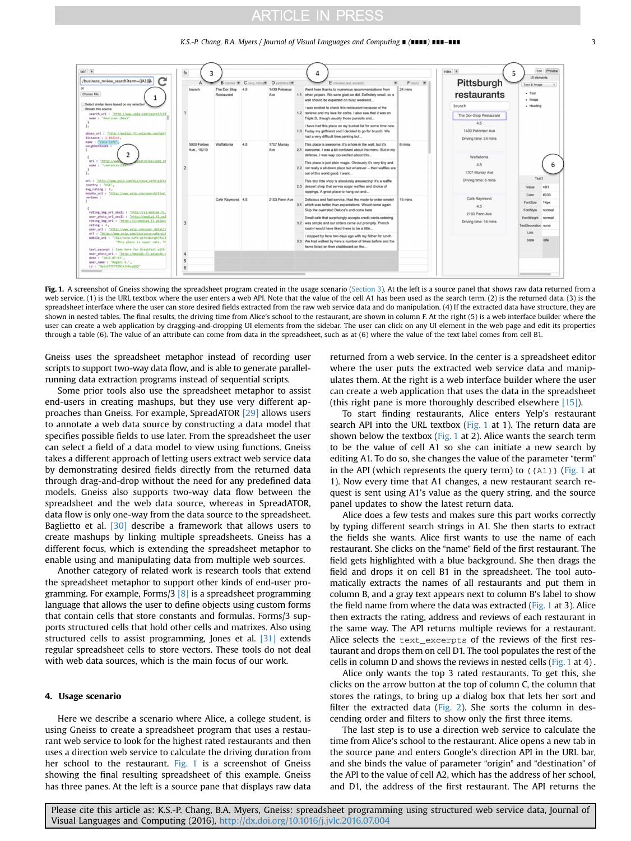### K.S.-P. Chang, B.A. Myers / Journal of Visual Languages and Computing ∎ (∎∎∎∎) ∎∎∎–∎∎∎ 3

<span id="page-2-0"></span>

Fig. 1. A screenshot of Gneiss showing the spreadsheet program created in the usage scenario [\(Section 3](#page-1-0)). At the left is a source panel that shows raw data returned from a web service. (1) is the URL textbox where the user enters a web API. Note that the value of the cell A1 has been used as the search term. (2) is the returned data. (3) is the spreadsheet interface where the user can store desired fields extracted from the raw web service data and do manipulation. (4) If the extracted data have structure, they are shown in nested tables. The final results, the driving time from Alice's school to the restaurant, are shown in column F. At the right (5) is a web interface builder where the user can create a web application by dragging-and-dropping UI elements from the sidebar. The user can click on any UI element in the web page and edit its properties through a table (6). The value of an attribute can come from data in the spreadsheet, such as at (6) where the value of the text label comes from cell B1.

Gneiss uses the spreadsheet metaphor instead of recording user scripts to support two-way data flow, and is able to generate parallelrunning data extraction programs instead of sequential scripts.

Some prior tools also use the spreadsheet metaphor to assist end-users in creating mashups, but they use very different approaches than Gneiss. For example, SpreadATOR [\[29\]](#page-9-0) allows users to annotate a web data source by constructing a data model that specifies possible fields to use later. From the spreadsheet the user can select a field of a data model to view using functions. Gneiss takes a different approach of letting users extract web service data by demonstrating desired fields directly from the returned data through drag-and-drop without the need for any predefined data models. Gneiss also supports two-way data flow between the spreadsheet and the web data source, whereas in SpreadATOR, data flow is only one-way from the data source to the spreadsheet. Baglietto et al. [\[30\]](#page-9-0) describe a framework that allows users to create mashups by linking multiple spreadsheets. Gneiss has a different focus, which is extending the spreadsheet metaphor to enable using and manipulating data from multiple web sources.

Another category of related work is research tools that extend the spreadsheet metaphor to support other kinds of end-user programming. For example, Forms/3  $[8]$  is a spreadsheet programming language that allows the user to define objects using custom forms that contain cells that store constants and formulas. Forms/3 supports structured cells that hold other cells and matrixes. Also using structured cells to assist programming, Jones et al. [\[31\]](#page-9-0) extends regular spreadsheet cells to store vectors. These tools do not deal with web data sources, which is the main focus of our work.

# 4. Usage scenario

Here we describe a scenario where Alice, a college student, is using Gneiss to create a spreadsheet program that uses a restaurant web service to look for the highest rated restaurants and then uses a direction web service to calculate the driving duration from her school to the restaurant. Fig. 1 is a screenshot of Gneiss showing the final resulting spreadsheet of this example. Gneiss has three panes. At the left is a source pane that displays raw data

returned from a web service. In the center is a spreadsheet editor where the user puts the extracted web service data and manipulates them. At the right is a web interface builder where the user can create a web application that uses the data in the spreadsheet (this right pane is more thoroughly described elsewhere [\[15\]](#page-9-0)).

To start finding restaurants, Alice enters Yelp's restaurant search API into the URL textbox (Fig. 1 at 1). The return data are shown below the textbox (Fig. 1 at 2). Alice wants the search term to be the value of cell A1 so she can initiate a new search by editing A1. To do so, she changes the value of the parameter "term" in the API (which represents the query term) to  $\{A1\}$  (Fig. 1 at 1). Now every time that A1 changes, a new restaurant search request is sent using A1's value as the query string, and the source panel updates to show the latest return data.

Alice does a few tests and makes sure this part works correctly by typing different search strings in A1. She then starts to extract the fields she wants. Alice first wants to use the name of each restaurant. She clicks on the "name" field of the first restaurant. The field gets highlighted with a blue background. She then drags the field and drops it on cell B1 in the spreadsheet. The tool automatically extracts the names of all restaurants and put them in column B, and a gray text appears next to column B's label to show the field name from where the data was extracted (Fig. 1 at 3). Alice then extracts the rating, address and reviews of each restaurant in the same way. The API returns multiple reviews for a restaurant. Alice selects the text\_excerpts of the reviews of the first restaurant and drops them on cell D1. The tool populates the rest of the cells in column D and shows the reviews in nested cells (Fig. 1 at 4) .

Alice only wants the top 3 rated restaurants. To get this, she clicks on the arrow button at the top of column C, the column that stores the ratings, to bring up a dialog box that lets her sort and filter the extracted data ([Fig. 2\)](#page-3-0). She sorts the column in descending order and filters to show only the first three items.

The last step is to use a direction web service to calculate the time from Alice's school to the restaurant. Alice opens a new tab in the source pane and enters Google's direction API in the URL bar, and she binds the value of parameter "origin" and "destination" of the API to the value of cell A2, which has the address of her school, and D1, the address of the first restaurant. The API returns the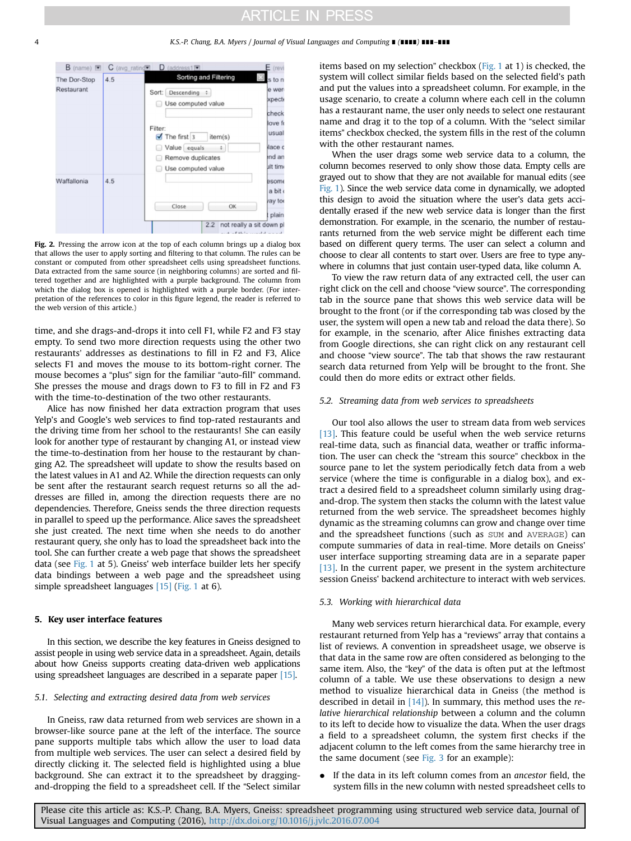#### <span id="page-3-0"></span>4 K.S.-P. Chang, B.A. Myers / Journal of Visual Languages and Computing ∎ (∎∎∎∎) ∎∎∎–∎∎∎



Fig. 2. Pressing the arrow icon at the top of each column brings up a dialog box that allows the user to apply sorting and filtering to that column. The rules can be constant or computed from other spreadsheet cells using spreadsheet functions. Data extracted from the same source (in neighboring columns) are sorted and filtered together and are highlighted with a purple background. The column from which the dialog box is opened is highlighted with a purple border. (For interpretation of the references to color in this figure legend, the reader is referred to the web version of this article.)

time, and she drags-and-drops it into cell F1, while F2 and F3 stay empty. To send two more direction requests using the other two restaurants' addresses as destinations to fill in F2 and F3, Alice selects F1 and moves the mouse to its bottom-right corner. The mouse becomes a "plus" sign for the familiar "auto-fill" command. She presses the mouse and drags down to F3 to fill in F2 and F3 with the time-to-destination of the two other restaurants.

Alice has now finished her data extraction program that uses Yelp's and Google's web services to find top-rated restaurants and the driving time from her school to the restaurants! She can easily look for another type of restaurant by changing A1, or instead view the time-to-destination from her house to the restaurant by changing A2. The spreadsheet will update to show the results based on the latest values in A1 and A2. While the direction requests can only be sent after the restaurant search request returns so all the addresses are filled in, among the direction requests there are no dependencies. Therefore, Gneiss sends the three direction requests in parallel to speed up the performance. Alice saves the spreadsheet she just created. The next time when she needs to do another restaurant query, she only has to load the spreadsheet back into the tool. She can further create a web page that shows the spreadsheet data (see [Fig. 1](#page-2-0) at 5). Gneiss' web interface builder lets her specify data bindings between a web page and the spreadsheet using simple spreadsheet languages [\[15\]](#page-9-0) ([Fig. 1](#page-2-0) at 6).

## 5. Key user interface features

In this section, we describe the key features in Gneiss designed to assist people in using web service data in a spreadsheet. Again, details about how Gneiss supports creating data-driven web applications using spreadsheet languages are described in a separate paper [\[15\].](#page-9-0)

### 5.1. Selecting and extracting desired data from web services

In Gneiss, raw data returned from web services are shown in a browser-like source pane at the left of the interface. The source pane supports multiple tabs which allow the user to load data from multiple web services. The user can select a desired field by directly clicking it. The selected field is highlighted using a blue background. She can extract it to the spreadsheet by draggingand-dropping the field to a spreadsheet cell. If the "Select similar items based on my selection" checkbox [\(Fig. 1](#page-2-0) at 1) is checked, the system will collect similar fields based on the selected field's path and put the values into a spreadsheet column. For example, in the usage scenario, to create a column where each cell in the column has a restaurant name, the user only needs to select one restaurant name and drag it to the top of a column. With the "select similar items" checkbox checked, the system fills in the rest of the column with the other restaurant names.

When the user drags some web service data to a column, the column becomes reserved to only show those data. Empty cells are grayed out to show that they are not available for manual edits (see [Fig. 1\)](#page-2-0). Since the web service data come in dynamically, we adopted this design to avoid the situation where the user's data gets accidentally erased if the new web service data is longer than the first demonstration. For example, in the scenario, the number of restaurants returned from the web service might be different each time based on different query terms. The user can select a column and choose to clear all contents to start over. Users are free to type anywhere in columns that just contain user-typed data, like column A.

To view the raw return data of any extracted cell, the user can right click on the cell and choose "view source". The corresponding tab in the source pane that shows this web service data will be brought to the front (or if the corresponding tab was closed by the user, the system will open a new tab and reload the data there). So for example, in the scenario, after Alice finishes extracting data from Google directions, she can right click on any restaurant cell and choose "view source". The tab that shows the raw restaurant search data returned from Yelp will be brought to the front. She could then do more edits or extract other fields.

#### 5.2. Streaming data from web services to spreadsheets

Our tool also allows the user to stream data from web services [\[13\].](#page-9-0) This feature could be useful when the web service returns real-time data, such as financial data, weather or traffic information. The user can check the "stream this source" checkbox in the source pane to let the system periodically fetch data from a web service (where the time is configurable in a dialog box), and extract a desired field to a spreadsheet column similarly using dragand-drop. The system then stacks the column with the latest value returned from the web service. The spreadsheet becomes highly dynamic as the streaming columns can grow and change over time and the spreadsheet functions (such as SUM and AVERAGE) can compute summaries of data in real-time. More details on Gneiss' user interface supporting streaming data are in a separate paper [\[13\].](#page-9-0) In the current paper, we present in the system architecture session Gneiss' backend architecture to interact with web services.

### 5.3. Working with hierarchical data

Many web services return hierarchical data. For example, every restaurant returned from Yelp has a "reviews" array that contains a list of reviews. A convention in spreadsheet usage, we observe is that data in the same row are often considered as belonging to the same item. Also, the "key" of the data is often put at the leftmost column of a table. We use these observations to design a new method to visualize hierarchical data in Gneiss (the method is described in detail in  $[14]$ ). In summary, this method uses the relative hierarchical relationship between a column and the column to its left to decide how to visualize the data. When the user drags a field to a spreadsheet column, the system first checks if the adjacent column to the left comes from the same hierarchy tree in the same document (see [Fig. 3](#page-4-0) for an example):

 If the data in its left column comes from an ancestor field, the system fills in the new column with nested spreadsheet cells to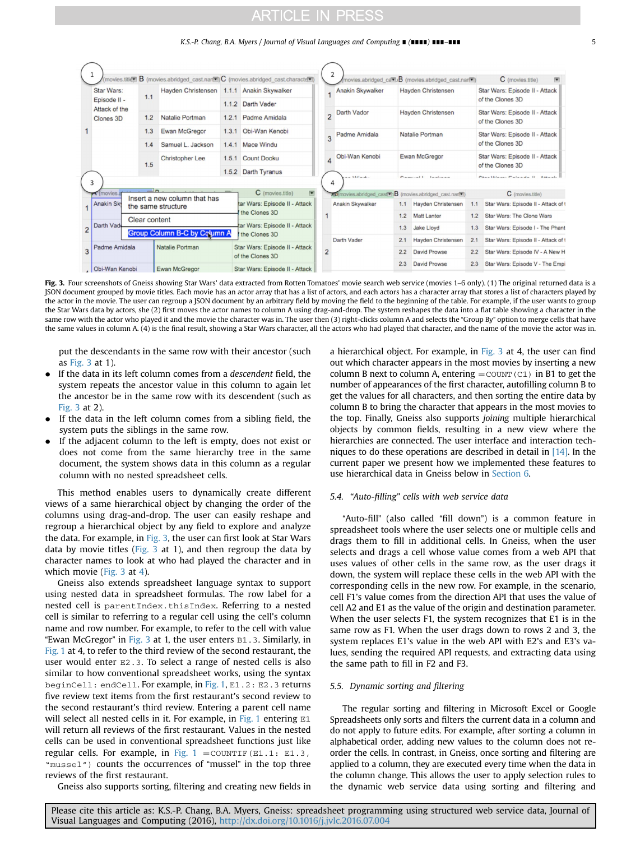#### K.S.-P. Chang, B.A. Myers / Journal of Visual Languages and Computing ∎ (∎∎∎∎) ∎∎∎–∎∎∎ 5

<span id="page-4-0"></span>

|                                                          |                                    |                        |                  |                                                              |                                                                                                                                                                                                                                                                                                               | 2                |                                     |                     |                                                                                                                                                                   | C (movies.title)                                                                         |  |
|----------------------------------------------------------|------------------------------------|------------------------|------------------|--------------------------------------------------------------|---------------------------------------------------------------------------------------------------------------------------------------------------------------------------------------------------------------------------------------------------------------------------------------------------------------|------------------|-------------------------------------|---------------------|-------------------------------------------------------------------------------------------------------------------------------------------------------------------|------------------------------------------------------------------------------------------|--|
| Star Wars:<br>Episode II -<br>Attack of the<br>Clones 3D | 1.1                                |                        |                  |                                                              |                                                                                                                                                                                                                                                                                                               | Anakin Skywalker | Hayden Christensen                  |                     |                                                                                                                                                                   | Star Wars: Episode II - Attack                                                           |  |
|                                                          |                                    |                        |                  |                                                              | $\overline{\mathbf{z}}$                                                                                                                                                                                                                                                                                       |                  |                                     |                     |                                                                                                                                                                   | of the Clones 3D                                                                         |  |
|                                                          | 1.2                                | Natalie Portman        | 1.2.1            | Padme Amidala                                                |                                                                                                                                                                                                                                                                                                               | Darth Vador      |                                     |                     |                                                                                                                                                                   | Star Wars: Episode II - Attack<br>of the Clones 3D                                       |  |
|                                                          | 1.3                                | Ewan McGregor          | 1.3.1            | Obi-Wan Kenobi                                               |                                                                                                                                                                                                                                                                                                               | Padme Amidala    | Natalie Portman                     |                     |                                                                                                                                                                   | Star Wars: Episode II - Attack<br>of the Clones 3D                                       |  |
|                                                          | 1.4                                | Samuel L. Jackson      | 1.4.1            | Mace Windu                                                   |                                                                                                                                                                                                                                                                                                               |                  |                                     |                     |                                                                                                                                                                   |                                                                                          |  |
|                                                          | 1.5                                | <b>Christopher Lee</b> |                  |                                                              |                                                                                                                                                                                                                                                                                                               | Obi-Wan Kenobi   | Ewan McGregor                       |                     |                                                                                                                                                                   | Star Wars: Episode II - Attack<br>of the Clones 3D<br>Otech Warrent Parlamenta II Attach |  |
|                                                          |                                    |                        |                  |                                                              |                                                                                                                                                                                                                                                                                                               |                  |                                     |                     |                                                                                                                                                                   |                                                                                          |  |
|                                                          |                                    |                        |                  |                                                              |                                                                                                                                                                                                                                                                                                               | 4                |                                     |                     |                                                                                                                                                                   |                                                                                          |  |
| movies.a                                                 | C (movies.title)<br>$\blacksquare$ |                        |                  |                                                              |                                                                                                                                                                                                                                                                                                               |                  |                                     |                     | C (movies.title)                                                                                                                                                  |                                                                                          |  |
| the same structure                                       |                                    |                        | Anakin Skywalker | 1.1                                                          | Hayden Christensen                                                                                                                                                                                                                                                                                            | 1.1              | Star Wars: Episode II - Attack of t |                     |                                                                                                                                                                   |                                                                                          |  |
| Darth Vade                                               | <b>Clear content</b>               |                        |                  |                                                              |                                                                                                                                                                                                                                                                                                               |                  | 1.2                                 | <b>Matt Lanter</b>  | 1.2                                                                                                                                                               | Star Wars: The Clone Wars                                                                |  |
|                                                          |                                    |                        |                  | tar Wars: Episode II - Attack                                |                                                                                                                                                                                                                                                                                                               |                  | 1.3                                 | Jake Lloyd          | 1.3                                                                                                                                                               | Star Wars: Episode I - The Phant                                                         |  |
|                                                          |                                    |                        |                  |                                                              |                                                                                                                                                                                                                                                                                                               | Darth Vader      | 2.1                                 | Hayden Christensen  | 2.1                                                                                                                                                               | Star Wars: Episode II - Attack of t                                                      |  |
| Padme Amidala<br>Obi-Wan Kenobi                          |                                    | <b>Ewan McGregor</b>   |                  | of the Clones 3D<br>Star Wars: Episode II - Attack           |                                                                                                                                                                                                                                                                                                               |                  | 2.2                                 | David Prowse        | 2.2                                                                                                                                                               | Star Wars: Episode IV - A New H                                                          |  |
|                                                          |                                    |                        |                  |                                                              |                                                                                                                                                                                                                                                                                                               |                  | 2.3                                 | <b>David Prowse</b> | 2.3                                                                                                                                                               | Star Wars: Episode V - The Empi                                                          |  |
|                                                          | <b>Anakin Sky</b>                  |                        | Natalie Portman  | Insert a new column that has<br>Group Column B-C by Column A | (movies.title $\mathsf B$ (movies.abridged_cast.narm) $C$ (movies.abridged_cast.character)<br>Hayden Christensen 1.1.1 Anakin Skywalker<br>1.1.2 Darth Vader<br>1.5.1 Count Dooku<br>1.5.2 Darth Tyranus<br>tar Wars: Episode II - Attack<br>the Clones 3D<br>the Clones 3D<br>Star Wars: Episode II - Attack |                  | $M = 1$                             |                     | Hayden Christensen<br>$O_{\text{meas}}$ and $I = I_{\text{meas}}$<br>$\pi$ p(movies.abridged_cast $\blacksquare$ h $B$ (movies.abridged_cast.nar $\blacksquare$ ) | movies.abridged_called (movies.abridged_cast.nar(1)                                      |  |

Fig. 3. Four screenshots of Gneiss showing Star Wars' data extracted from Rotten Tomatoes' movie search web service (movies 1–6 only). (1) The original returned data is a JSON document grouped by movie titles. Each movie has an actor array that has a list of actors, and each actors has a character array that stores a list of characters played by the actor in the movie. The user can regroup a JSON document by an arbitrary field by moving the field to the beginning of the table. For example, if the user wants to group the Star Wars data by actors, she (2) first moves the actor names to column A using drag-and-drop. The system reshapes the data into a flat table showing a character in the same row with the actor who played it and the movie the character was in. The user then (3) right-clicks column A and selects the "Group By" option to merge cells that have the same values in column A. (4) is the final result, showing a Star Wars character, all the actors who had played that character, and the name of the movie the actor was in.

put the descendants in the same row with their ancestor (such as Fig. 3 at 1).

- If the data in its left column comes from a descendent field, the system repeats the ancestor value in this column to again let the ancestor be in the same row with its descendent (such as Fig. 3 at 2).
- If the data in the left column comes from a sibling field, the system puts the siblings in the same row.
- If the adjacent column to the left is empty, does not exist or does not come from the same hierarchy tree in the same document, the system shows data in this column as a regular column with no nested spreadsheet cells.

This method enables users to dynamically create different views of a same hierarchical object by changing the order of the columns using drag-and-drop. The user can easily reshape and regroup a hierarchical object by any field to explore and analyze the data. For example, in Fig. 3, the user can first look at Star Wars data by movie titles (Fig. 3 at 1), and then regroup the data by character names to look at who had played the character and in which movie (Fig. 3 at [4](#page-8-0)).

Gneiss also extends spreadsheet language syntax to support using nested data in spreadsheet formulas. The row label for a nested cell is parentIndex.thisIndex. Referring to a nested cell is similar to referring to a regular cell using the cell's column name and row number. For example, to refer to the cell with value "Ewan McGregor" in Fig. 3 at 1, the user enters  $B1.3$ . Similarly, in [Fig. 1](#page-2-0) at 4, to refer to the third review of the second restaurant, the user would enter E2.3. To select a range of nested cells is also similar to how conventional spreadsheet works, using the syntax beginCell: endCell. For example, in [Fig. 1,](#page-2-0) E1.2: E2.3 returns five review text items from the first restaurant's second review to the second restaurant's third review. Entering a parent cell name will select all nested cells in it. For example, in [Fig. 1](#page-2-0) entering  $E1$ will return all reviews of the first restaurant. Values in the nested cells can be used in conventional spreadsheet functions just like regular cells. For example, in Fig.  $1 = \text{COUNTIF(E1.1: E1.3)}$ "mussel") counts the occurrences of "mussel" in the top three reviews of the first restaurant.

a hierarchical object. For example, in Fig.  $3$  at 4, the user can find out which character appears in the most movies by inserting a new column B next to column A, entering  $=$  COUNT (C1) in B1 to get the number of appearances of the first character, autofilling column B to get the values for all characters, and then sorting the entire data by column B to bring the character that appears in the most movies to the top. Finally, Gneiss also supports joining multiple hierarchical objects by common fields, resulting in a new view where the hierarchies are connected. The user interface and interaction techniques to do these operations are described in detail in [\[14\].](#page-9-0) In the current paper we present how we implemented these features to use hierarchical data in Gneiss below in [Section 6](#page-5-0).

## 5.4. "Auto-filling" cells with web service data

"Auto-fill" (also called "fill down") is a common feature in spreadsheet tools where the user selects one or multiple cells and drags them to fill in additional cells. In Gneiss, when the user selects and drags a cell whose value comes from a web API that uses values of other cells in the same row, as the user drags it down, the system will replace these cells in the web API with the corresponding cells in the new row. For example, in the scenario, cell F1's value comes from the direction API that uses the value of cell A2 and E1 as the value of the origin and destination parameter. When the user selects F1, the system recognizes that E1 is in the same row as F1. When the user drags down to rows 2 and 3, the system replaces E1's value in the web API with E2's and E3's values, sending the required API requests, and extracting data using the same path to fill in F2 and F3.

## 5.5. Dynamic sorting and filtering

The regular sorting and filtering in Microsoft Excel or Google Spreadsheets only sorts and filters the current data in a column and do not apply to future edits. For example, after sorting a column in alphabetical order, adding new values to the column does not reorder the cells. In contrast, in Gneiss, once sorting and filtering are applied to a column, they are executed every time when the data in the column change. This allows the user to apply selection rules to the dynamic web service data using sorting and filtering and

Gneiss also supports sorting, filtering and creating new fields in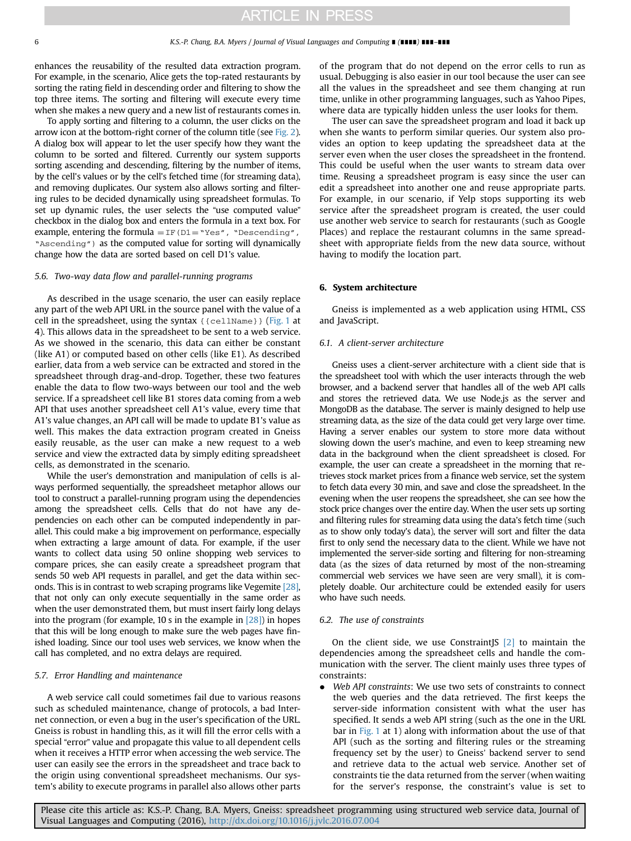<span id="page-5-0"></span>enhances the reusability of the resulted data extraction program. For example, in the scenario, Alice gets the top-rated restaurants by sorting the rating field in descending order and filtering to show the top three items. The sorting and filtering will execute every time when she makes a new query and a new list of restaurants comes in.

To apply sorting and filtering to a column, the user clicks on the arrow icon at the bottom-right corner of the column title (see [Fig. 2\)](#page-3-0). A dialog box will appear to let the user specify how they want the column to be sorted and filtered. Currently our system supports sorting ascending and descending, filtering by the number of items, by the cell's values or by the cell's fetched time (for streaming data), and removing duplicates. Our system also allows sorting and filtering rules to be decided dynamically using spreadsheet formulas. To set up dynamic rules, the user selects the "use computed value" checkbox in the dialog box and enters the formula in a text box. For example, entering the formula = IF( $DI$ ="Yes", "Descending", "Ascending") as the computed value for sorting will dynamically change how the data are sorted based on cell D1's value.

#### 5.6. Two-way data flow and parallel-running programs

As described in the usage scenario, the user can easily replace any part of the web API URL in the source panel with the value of a cell in the spreadsheet, using the syntax  $\{$  { $\text{cellName}}$ } [\(Fig. 1](#page-2-0) at 4). This allows data in the spreadsheet to be sent to a web service. As we showed in the scenario, this data can either be constant (like A1) or computed based on other cells (like E1). As described earlier, data from a web service can be extracted and stored in the spreadsheet through drag-and-drop. Together, these two features enable the data to flow two-ways between our tool and the web service. If a spreadsheet cell like B1 stores data coming from a web API that uses another spreadsheet cell A1's value, every time that A1's value changes, an API call will be made to update B1's value as well. This makes the data extraction program created in Gneiss easily reusable, as the user can make a new request to a web service and view the extracted data by simply editing spreadsheet cells, as demonstrated in the scenario.

While the user's demonstration and manipulation of cells is always performed sequentially, the spreadsheet metaphor allows our tool to construct a parallel-running program using the dependencies among the spreadsheet cells. Cells that do not have any dependencies on each other can be computed independently in parallel. This could make a big improvement on performance, especially when extracting a large amount of data. For example, if the user wants to collect data using 50 online shopping web services to compare prices, she can easily create a spreadsheet program that sends 50 web API requests in parallel, and get the data within seconds. This is in contrast to web scraping programs like Vegemite [\[28\],](#page-9-0) that not only can only execute sequentially in the same order as when the user demonstrated them, but must insert fairly long delays into the program (for example, 10 s in the example in  $[28]$ ) in hopes that this will be long enough to make sure the web pages have finished loading. Since our tool uses web services, we know when the call has completed, and no extra delays are required.

### 5.7. Error Handling and maintenance

A web service call could sometimes fail due to various reasons such as scheduled maintenance, change of protocols, a bad Internet connection, or even a bug in the user's specification of the URL. Gneiss is robust in handling this, as it will fill the error cells with a special "error" value and propagate this value to all dependent cells when it receives a HTTP error when accessing the web service. The user can easily see the errors in the spreadsheet and trace back to the origin using conventional spreadsheet mechanisms. Our system's ability to execute programs in parallel also allows other parts of the program that do not depend on the error cells to run as usual. Debugging is also easier in our tool because the user can see all the values in the spreadsheet and see them changing at run time, unlike in other programming languages, such as Yahoo Pipes, where data are typically hidden unless the user looks for them.

The user can save the spreadsheet program and load it back up when she wants to perform similar queries. Our system also provides an option to keep updating the spreadsheet data at the server even when the user closes the spreadsheet in the frontend. This could be useful when the user wants to stream data over time. Reusing a spreadsheet program is easy since the user can edit a spreadsheet into another one and reuse appropriate parts. For example, in our scenario, if Yelp stops supporting its web service after the spreadsheet program is created, the user could use another web service to search for restaurants (such as Google Places) and replace the restaurant columns in the same spreadsheet with appropriate fields from the new data source, without having to modify the location part.

#### 6. System architecture

Gneiss is implemented as a web application using HTML, CSS and JavaScript.

## 6.1. A client-server architecture

Gneiss uses a client-server architecture with a client side that is the spreadsheet tool with which the user interacts through the web browser, and a backend server that handles all of the web API calls and stores the retrieved data. We use Node.js as the server and MongoDB as the database. The server is mainly designed to help use streaming data, as the size of the data could get very large over time. Having a server enables our system to store more data without slowing down the user's machine, and even to keep streaming new data in the background when the client spreadsheet is closed. For example, the user can create a spreadsheet in the morning that retrieves stock market prices from a finance web service, set the system to fetch data every 30 min, and save and close the spreadsheet. In the evening when the user reopens the spreadsheet, she can see how the stock price changes over the entire day. When the user sets up sorting and filtering rules for streaming data using the data's fetch time (such as to show only today's data), the server will sort and filter the data first to only send the necessary data to the client. While we have not implemented the server-side sorting and filtering for non-streaming data (as the sizes of data returned by most of the non-streaming commercial web services we have seen are very small), it is completely doable. Our architecture could be extended easily for users who have such needs.

## 6.2. The use of constraints

On the client side, we use ConstraintJS  $[2]$  to maintain the dependencies among the spreadsheet cells and handle the communication with the server. The client mainly uses three types of constraints:

Web API constraints: We use two sets of constraints to connect the web queries and the data retrieved. The first keeps the server-side information consistent with what the user has specified. It sends a web API string (such as the one in the URL bar in [Fig. 1](#page-2-0) at 1) along with information about the use of that API (such as the sorting and filtering rules or the streaming frequency set by the user) to Gneiss' backend server to send and retrieve data to the actual web service. Another set of constraints tie the data returned from the server (when waiting for the server's response, the constraint's value is set to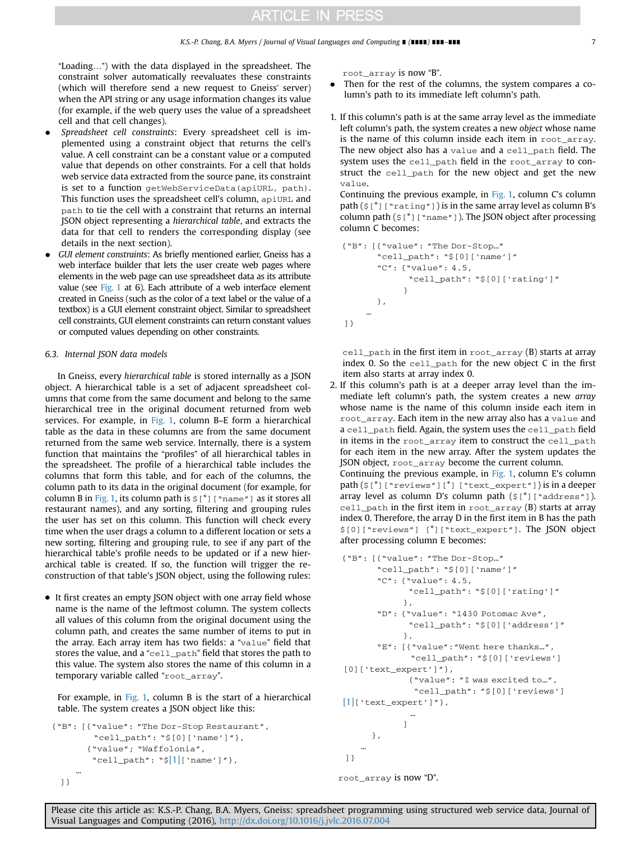"Loading…") with the data displayed in the spreadsheet. The constraint solver automatically reevaluates these constraints (which will therefore send a new request to Gneiss' server) when the API string or any usage information changes its value (for example, if the web query uses the value of a spreadsheet cell and that cell changes).

- Spreadsheet cell constraints: Every spreadsheet cell is implemented using a constraint object that returns the cell's value. A cell constraint can be a constant value or a computed value that depends on other constraints. For a cell that holds web service data extracted from the source pane, its constraint is set to a function getWebServiceData(apiURL, path). This function uses the spreadsheet cell's column, apiURL and path to tie the cell with a constraint that returns an internal JSON object representing a hierarchical table, and extracts the data for that cell to renders the corresponding display (see details in the next section).
- GUI element constraints: As briefly mentioned earlier, Gneiss has a web interface builder that lets the user create web pages where elements in the web page can use spreadsheet data as its attribute value (see [Fig. 1](#page-2-0) at 6). Each attribute of a web interface element created in Gneiss (such as the color of a text label or the value of a textbox) is a GUI element constraint object. Similar to spreadsheet cell constraints, GUI element constraints can return constant values or computed values depending on other constraints.

### 6.3. Internal JSON data models

In Gneiss, every hierarchical table is stored internally as a JSON object. A hierarchical table is a set of adjacent spreadsheet columns that come from the same document and belong to the same hierarchical tree in the original document returned from web services. For example, in [Fig. 1,](#page-2-0) column B–E form a hierarchical table as the data in these columns are from the same document returned from the same web service. Internally, there is a system function that maintains the "profiles" of all hierarchical tables in the spreadsheet. The profile of a hierarchical table includes the columns that form this table, and for each of the columns, the column path to its data in the original document (for example, for column B in [Fig. 1,](#page-2-0) its column path is  $\frac{1}{2}$  ["name"] as it stores all restaurant names), and any sorting, filtering and grouping rules the user has set on this column. This function will check every time when the user drags a column to a different location or sets a new sorting, filtering and grouping rule, to see if any part of the hierarchical table's profile needs to be updated or if a new hierarchical table is created. If so, the function will trigger the reconstruction of that table's JSON object, using the following rules:

• It first creates an empty JSON object with one array field whose name is the name of the leftmost column. The system collects all values of this column from the original document using the column path, and creates the same number of items to put in the array. Each array item has two fields: a "value" field that stores the value, and a "cell\_path" field that stores the path to this value. The system also stores the name of this column in a temporary variable called "root\_array".

For example, in [Fig. 1,](#page-2-0) column B is the start of a hierarchical table. The system creates a JSON object like this:

```
{"B": [{"value": "The Dor-Stop Restaurant",
        "cell_path": "$[0]['name']"},
      {"value"; "Waffolonia",
        "cell path": "[1]['name']"},
    …
 ]}
```
root\_array is now "B".

- Then for the rest of the columns, the system compares a column's path to its immediate left column's path.
- 1. If this column's path is at the same array level as the immediate left column's path, the system creates a new object whose name is the name of this column inside each item in root array. The new object also has a value and a cell\_path field. The system uses the cell\_path field in the root\_array to construct the cell\_path for the new object and get the new value.

Continuing the previous example, in [Fig. 1](#page-2-0), column C's column path  $(\xi[^*]$  ["rating"]) is in the same array level as column B's column path  $(\frac{1}{2}[*)$  ["name"]). The JSON object after processing column C becomes:

```
{"B": [{"value": "The Dor-Stop…"
       "cell_path": "$[0]['name']"
       "C": {"value": 4.5,
             "cell_path": "$[0]['rating']"
            }
       },
     …
]}
```
cell\_path in the first item in root\_array (B) starts at array index 0. So the cell\_path for the new object C in the first item also starts at array index 0.

2. If this column's path is at a deeper array level than the immediate left column's path, the system creates a new array whose name is the name of this column inside each item in root\_array. Each item in the new array also has a value and a cell\_path field. Again, the system uses the cell\_path field in items in the root\_array item to construct the cell\_path for each item in the new array. After the system updates the JSON object, root\_array become the current column.

Continuing the previous example, in [Fig. 1,](#page-2-0) column E's column path (\$[\*]["reviews"][\*] ["text\_expert"]) is in a deeper array level as column D's column path (\$[\*]["address"]). cell\_path in the first item in root\_array (B) starts at array index 0. Therefore, the array D in the first item in B has the path \$[0]["reviews"] [\*]["text\_expert"]. The JSON object after processing column E becomes:

```
{"B": [{"value": "The Dor-Stop…"
       "cell_path": "$[0]['name']"
       "C": {"value": 4.5,
             "cell_path": "$[0]['rating']"
            },
       "D": {"value": "1430 Potomac Ave",
             "cell_path": "$[0]['address']"
            },
       "E": [{"value":"Went here thanks…",
              "cell_path": "$[0]['reviews']
[0]['text_expert']"},
             {"value": "I was excited to…",
              "cell_path": "$[0]['reviews']
[1]['text_expert']"},
              …
            \mathbf{I}},
   …
]}
```
root\_array is now "D".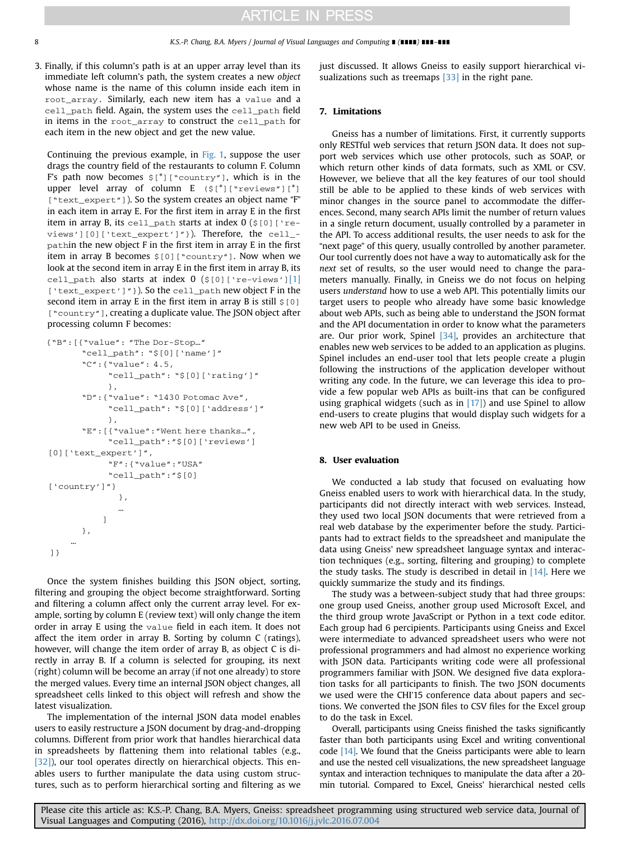#### <span id="page-7-0"></span>8 K.S.-P. Chang, B.A. Myers / Journal of Visual Languages and Computing ∎ (∎∎∎∎) ∎∎∎–∎∎∎

3. Finally, if this column's path is at an upper array level than its immediate left column's path, the system creates a new object whose name is the name of this column inside each item in root\_array. Similarly, each new item has a value and a cell\_path field. Again, the system uses the cell\_path field in items in the root\_array to construct the cell\_path for each item in the new object and get the new value.

Continuing the previous example, in [Fig. 1,](#page-2-0) suppose the user drags the country field of the restaurants to column F. Column F's path now becomes  $\frac{1}{2}$ ["country"], which is in the upper level array of column E ( $\frac{s}{r}$ ]["reviews"][<sup>\*</sup>] ["text\_expert"]). So the system creates an object name "F" in each item in array E. For the first item in array E in the first item in array B, its cell\_path starts at index  $0$  ( $\S$ [0]['reviews'][0]['text\_expert']"}). Therefore, the cell\_ pathin the new object F in the first item in array E in the first item in array B becomes \$[0]["country"]. Now when we look at the second item in array E in the first item in array B, its cell\_path also starts at index 0 (\$[0]['re-views'][\[1\]](#page-9-0) ['text\_expert']"}). So the cell\_path new object F in the second item in array E in the first item in array B is still  $\zeta[0]$ ["country"], creating a duplicate value. The JSON object after processing column F becomes:

```
{"B":[{"value": "The Dor-Stop…"
       "cell_path": "$[0]['name']"
       "C":{"value": 4.5,
            "cell_path": "$[0]['rating']"
            },
       "D":{"value": "1430 Potomac Ave",
            "cell_path": "$[0]['address']"
            },
       "E":[{"value":"Went here thanks…",
            "cell_path":"$[0]['reviews']
[0]['text_expert']",
            "F":{"value":"USA"
            "cell_path":"$[0]
['country']"}
              },
              …
           ]
      },
     …
]}
```
Once the system finishes building this JSON object, sorting, filtering and grouping the object become straightforward. Sorting and filtering a column affect only the current array level. For example, sorting by column E (review text) will only change the item order in array E using the value field in each item. It does not affect the item order in array B. Sorting by column C (ratings), however, will change the item order of array B, as object C is directly in array B. If a column is selected for grouping, its next (right) column will be become an array (if not one already) to store the merged values. Every time an internal JSON object changes, all spreadsheet cells linked to this object will refresh and show the latest visualization.

The implementation of the internal JSON data model enables users to easily restructure a JSON document by drag-and-dropping columns. Different from prior work that handles hierarchical data in spreadsheets by flattening them into relational tables (e.g., [\[32\]](#page-9-0)), our tool operates directly on hierarchical objects. This enables users to further manipulate the data using custom structures, such as to perform hierarchical sorting and filtering as we just discussed. It allows Gneiss to easily support hierarchical visualizations such as treemaps  $[33]$  in the right pane.

# 7. Limitations

Gneiss has a number of limitations. First, it currently supports only RESTful web services that return JSON data. It does not support web services which use other protocols, such as SOAP, or which return other kinds of data formats, such as XML or CSV. However, we believe that all the key features of our tool should still be able to be applied to these kinds of web services with minor changes in the source panel to accommodate the differences. Second, many search APIs limit the number of return values in a single return document, usually controlled by a parameter in the API. To access additional results, the user needs to ask for the "next page" of this query, usually controlled by another parameter. Our tool currently does not have a way to automatically ask for the next set of results, so the user would need to change the parameters manually. Finally, in Gneiss we do not focus on helping users understand how to use a web API. This potentially limits our target users to people who already have some basic knowledge about web APIs, such as being able to understand the JSON format and the API documentation in order to know what the parameters are. Our prior work, Spinel  $[34]$ , provides an architecture that enables new web services to be added to an application as plugins. Spinel includes an end-user tool that lets people create a plugin following the instructions of the application developer without writing any code. In the future, we can leverage this idea to provide a few popular web APIs as built-ins that can be configured using graphical widgets (such as in  $[17]$ ) and use Spinel to allow end-users to create plugins that would display such widgets for a new web API to be used in Gneiss.

# 8. User evaluation

We conducted a lab study that focused on evaluating how Gneiss enabled users to work with hierarchical data. In the study, participants did not directly interact with web services. Instead, they used two local JSON documents that were retrieved from a real web database by the experimenter before the study. Participants had to extract fields to the spreadsheet and manipulate the data using Gneiss' new spreadsheet language syntax and interaction techniques (e.g., sorting, filtering and grouping) to complete the study tasks. The study is described in detail in  $[14]$ . Here we quickly summarize the study and its findings.

The study was a between-subject study that had three groups: one group used Gneiss, another group used Microsoft Excel, and the third group wrote JavaScript or Python in a text code editor. Each group had 6 percipients. Participants using Gneiss and Excel were intermediate to advanced spreadsheet users who were not professional programmers and had almost no experience working with JSON data. Participants writing code were all professional programmers familiar with JSON. We designed five data exploration tasks for all participants to finish. The two JSON documents we used were the CHI'15 conference data about papers and sections. We converted the JSON files to CSV files for the Excel group to do the task in Excel.

Overall, participants using Gneiss finished the tasks significantly faster than both participants using Excel and writing conventional code [\[14\].](#page-9-0) We found that the Gneiss participants were able to learn and use the nested cell visualizations, the new spreadsheet language syntax and interaction techniques to manipulate the data after a 20 min tutorial. Compared to Excel, Gneiss' hierarchical nested cells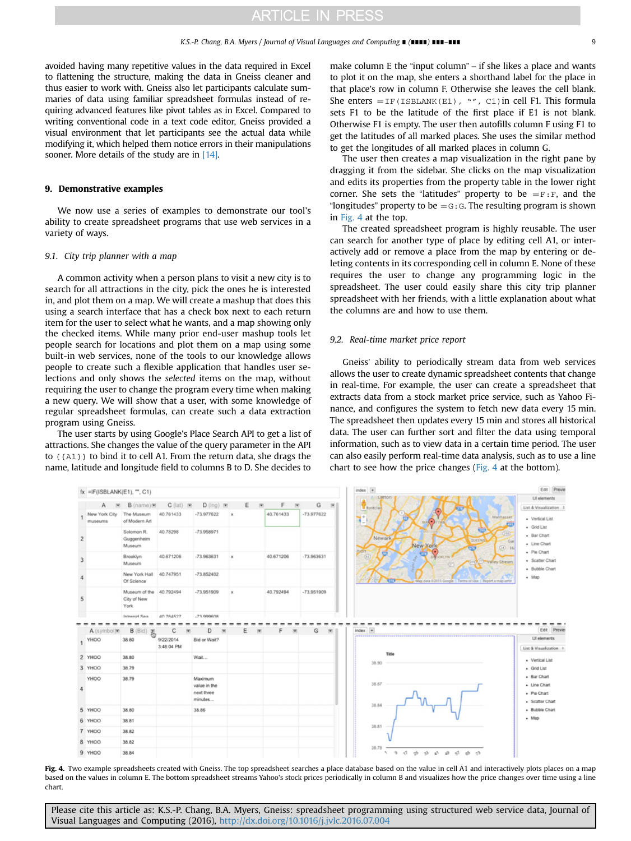<span id="page-8-0"></span>avoided having many repetitive values in the data required in Excel to flattening the structure, making the data in Gneiss cleaner and thus easier to work with. Gneiss also let participants calculate summaries of data using familiar spreadsheet formulas instead of requiring advanced features like pivot tables as in Excel. Compared to writing conventional code in a text code editor, Gneiss provided a visual environment that let participants see the actual data while modifying it, which helped them notice errors in their manipulations sooner. More details of the study are in [\[14\]](#page-9-0).

### 9. Demonstrative examples

We now use a series of examples to demonstrate our tool's ability to create spreadsheet programs that use web services in a variety of ways.

## 9.1. City trip planner with a map

A common activity when a person plans to visit a new city is to search for all attractions in the city, pick the ones he is interested in, and plot them on a map. We will create a mashup that does this using a search interface that has a check box next to each return item for the user to select what he wants, and a map showing only the checked items. While many prior end-user mashup tools let people search for locations and plot them on a map using some built-in web services, none of the tools to our knowledge allows people to create such a flexible application that handles user selections and only shows the selected items on the map, without requiring the user to change the program every time when making a new query. We will show that a user, with some knowledge of regular spreadsheet formulas, can create such a data extraction program using Gneiss.

The user starts by using Google's Place Search API to get a list of attractions. She changes the value of the query parameter in the API to  $\{A1\}$  to bind it to cell A1. From the return data, she drags the name, latitude and longitude field to columns B to D. She decides to

make column E the "input column" – if she likes a place and wants to plot it on the map, she enters a shorthand label for the place in that place's row in column F. Otherwise she leaves the cell blank. She enters  $=$ IF(ISBLANK(E1), "", C1)in cell F1. This formula sets F1 to be the latitude of the first place if E1 is not blank. Otherwise F1 is empty. The user then autofills column F using F1 to get the latitudes of all marked places. She uses the similar method to get the longitudes of all marked places in column G.

The user then creates a map visualization in the right pane by dragging it from the sidebar. She clicks on the map visualization and edits its properties from the property table in the lower right corner. She sets the "latitudes" property to be  $=F:F$ , and the "longitudes" property to be  $=G:G$ . The resulting program is shown in Fig. 4 at the top.

The created spreadsheet program is highly reusable. The user can search for another type of place by editing cell A1, or interactively add or remove a place from the map by entering or deleting contents in its corresponding cell in column E. None of these requires the user to change any programming logic in the spreadsheet. The user could easily share this city trip planner spreadsheet with her friends, with a little explanation about what the columns are and how to use them.

# 9.2. Real-time market price report

Gneiss' ability to periodically stream data from web services allows the user to create dynamic spreadsheet contents that change in real-time. For example, the user can create a spreadsheet that extracts data from a stock market price service, such as Yahoo Finance, and configures the system to fetch new data every 15 min. The spreadsheet then updates every 15 min and stores all historical data. The user can further sort and filter the data using temporal information, such as to view data in a certain time period. The user can also easily perform real-time data analysis, such as to use a line chart to see how the price changes (Fig. 4 at the bottom).



Fig. 4. Two example spreadsheets created with Gneiss. The top spreadsheet searches a place database based on the value in cell A1 and interactively plots places on a map based on the values in column E. The bottom spreadsheet streams Yahoo's stock prices periodically in column B and visualizes how the price changes over time using a line chart.